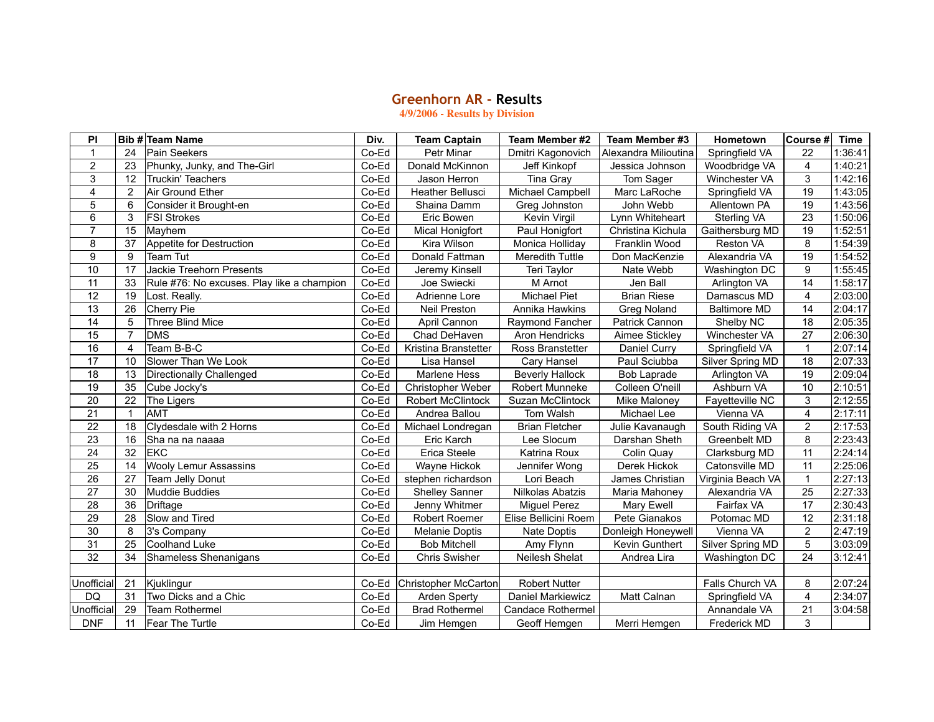## **Greenhorn AR ‑ Results**

**4/9/2006 - Results by Division**

| ΡI                |                | Bib # Team Name                            | Div.  | <b>Team Captain</b>   | Team Member #2           | Team Member #3       | Hometown            | Course # Time    |         |
|-------------------|----------------|--------------------------------------------|-------|-----------------------|--------------------------|----------------------|---------------------|------------------|---------|
| $\mathbf{1}$      | 24             | <b>Pain Seekers</b>                        | Co-Ed | Petr Minar            | Dmitri Kagonovich        | Alexandra Milioutina | Springfield VA      | 22               | 1:36:41 |
| 2                 | 23             | Phunky, Junky, and The-Girl                | Co-Ed | Donald McKinnon       | Jeff Kinkopf             | Jessica Johnson      | Woodbridge VA       | $\overline{4}$   | 1:40:21 |
| 3                 | 12             | <b>Truckin' Teachers</b>                   | Co-Ed | Jason Herron          | <b>Tina Gray</b>         | Tom Sager            | Winchester VA       | 3                | 1:42:16 |
| 4                 | 2              | Air Ground Ether                           | Co-Ed | Heather Bellusci      | Michael Campbell         | Marc LaRoche         | Springfield VA      | $\overline{19}$  | 1:43:05 |
| 5                 | 6              | Consider it Brought-en                     | Co-Ed | Shaina Damm           | Greg Johnston            | John Webb            | Allentown PA        | 19               | 1:43:56 |
| $\,6\,$           | 3              | <b>FSI Strokes</b>                         | Co-Ed | Eric Bowen            | Kevin Virgil             | Lynn Whiteheart      | Sterling VA         | $\overline{23}$  | 1:50:06 |
| $\overline{7}$    | 15             | Mayhem                                     | Co-Ed | Mical Honigfort       | Paul Honigfort           | Christina Kichula    | Gaithersburg MD     | 19               | 1:52:51 |
| 8                 | 37             | Appetite for Destruction                   | Co-Ed | Kira Wilson           | Monica Holliday          | Franklin Wood        | Reston VA           | 8                | 1:54:39 |
| 9                 | 9              | Team Tut                                   | Co-Ed | Donald Fattman        | Meredith Tuttle          | Don MacKenzie        | Alexandria VA       | 19               | 1:54:52 |
| 10                | 17             | Jackie Treehorn Presents                   | Co-Ed | Jeremy Kinsell        | Teri Taylor              | Nate Webb            | Washington DC       | $\boldsymbol{9}$ | 1:55:45 |
| 11                | 33             | Rule #76: No excuses. Play like a champion | Co-Ed | Joe Swiecki           | M Arnot                  | Jen Ball             | Arlington VA        | 14               | 1:58:17 |
| $\overline{12}$   | 19             | Lost. Really.                              | Co-Ed | Adrienne Lore         | Michael Piet             | <b>Brian Riese</b>   | Damascus MD         | $\overline{4}$   | 2:03:00 |
| 13                | 26             | <b>Cherry Pie</b>                          | Co-Ed | <b>Neil Preston</b>   | Annika Hawkins           | <b>Greg Noland</b>   | <b>Baltimore MD</b> | 14               | 2:04:17 |
| 14                | 5              | <b>Three Blind Mice</b>                    | Co-Ed | April Cannon          | Raymond Fancher          | Patrick Cannon       | Shelby NC           | 18               | 2:05:35 |
| 15                | $\overline{7}$ | <b>DMS</b>                                 | Co-Ed | Chad DeHaven          | Aron Hendricks           | Aimee Stickley       | Winchester VA       | 27               | 2:06:30 |
| 16                | 4              | Team B-B-C                                 | Co-Ed | Kristina Branstetter  | Ross Branstetter         | Daniel Curry         | Springfield VA      | $\mathbf{1}$     | 2:07:14 |
| 17                | 10             | Slower Than We Look                        | Co-Ed | Lisa Hansel           | Cary Hansel              | Paul Sciubba         | Silver Spring MD    | 18               | 2:07:33 |
| 18                | 13             | Directionally Challenged                   | Co-Ed | Marlene Hess          | <b>Beverly Hallock</b>   | <b>Bob Laprade</b>   | Arlington VA        | 19               | 2:09:04 |
| $\overline{19}$   | 35             | Cube Jocky's                               | Co-Ed | Christopher Weber     | Robert Munneke           | Colleen O'neill      | Ashburn VA          | 10               | 2:10:51 |
| 20                | 22             | The Ligers                                 | Co-Ed | Robert McClintock     | Suzan McClintock         | Mike Maloney         | Fayetteville NC     | 3                | 2:12:55 |
| $\overline{21}$   | -1             | AMT                                        | Co-Ed | Andrea Ballou         | Tom Walsh                | Michael Lee          | Vienna VA           | $\overline{4}$   | 2:17:11 |
| 22                | 18             | Clydesdale with 2 Horns                    | Co-Ed | Michael Londregan     | <b>Brian Fletcher</b>    | Julie Kavanaugh      | South Riding VA     | $\overline{2}$   | 2:17:53 |
| 23                | 16             | Sha na na naaaa                            | Co-Ed | Eric Karch            | Lee Slocum               | Darshan Sheth        | Greenbelt MD        | 8                | 2:23:43 |
| 24                | 32             | <b>EKC</b>                                 | Co-Ed | Erica Steele          | Katrina Roux             | Colin Quay           | Clarksburg MD       | 11               | 2:24:14 |
| 25                | 14             | <b>Wooly Lemur Assassins</b>               | Co-Ed | Wayne Hickok          | Jennifer Wong            | Derek Hickok         | Catonsville MD      | 11               | 2:25:06 |
| 26                | 27             | Team Jelly Donut                           | Co-Ed | stephen richardson    | Lori Beach               | James Christian      | Virginia Beach VA   | $\overline{1}$   | 2:27:13 |
| $\overline{27}$   | 30             | <b>Muddie Buddies</b>                      | Co-Ed | <b>Shelley Sanner</b> | Nilkolas Abatzis         | Maria Mahoney        | Alexandria VA       | $\overline{25}$  | 2:27:33 |
| 28                | 36             | Driftage                                   | Co-Ed | Jenny Whitmer         | <b>Miguel Perez</b>      | Mary Ewell           | Fairfax VA          | 17               | 2:30:43 |
| 29                | 28             | Slow and Tired                             | Co-Ed | Robert Roemer         | Elise Bellicini Roem     | Pete Gianakos        | Potomac MD          | $\overline{12}$  | 2:31:18 |
| 30                | 8              | 3's Company                                | Co-Ed | Melanie Doptis        | Nate Doptis              | Donleigh Honeywell   | Vienna VA           | $\mathbf{2}$     | 2:47:19 |
| $\overline{31}$   | 25             | <b>Coolhand Luke</b>                       | Co-Ed | <b>Bob Mitchell</b>   | Amy Flynn                | Kevin Gunthert       | Silver Spring MD    | 5                | 3:03:09 |
| 32                | 34             | Shameless Shenanigans                      | Co-Ed | <b>Chris Swisher</b>  | Neilesh Shelat           | Andrea Lira          | Washington DC       | 24               | 3:12:41 |
|                   |                |                                            |       |                       |                          |                      |                     |                  |         |
| <b>Unofficial</b> | 21             | Kjuklingur                                 | Co-Ed | Christopher McCarton  | <b>Robert Nutter</b>     |                      | Falls Church VA     | 8                | 2:07:24 |
| DQ                | 31             | Two Dicks and a Chic                       | Co-Ed | Arden Sperty          | Daniel Markiewicz        | Matt Calnan          | Springfield VA      | $\overline{4}$   | 2:34:07 |
| Unofficial        | 29             | <b>Team Rothermel</b>                      | Co-Ed | <b>Brad Rothermel</b> | <b>Candace Rothermel</b> |                      | Annandale VA        | 21               | 3:04:58 |
| <b>DNF</b>        | 11             | Fear The Turtle                            | Co-Ed | Jim Hemgen            | Geoff Hemgen             | Merri Hemgen         | Frederick MD        | 3                |         |